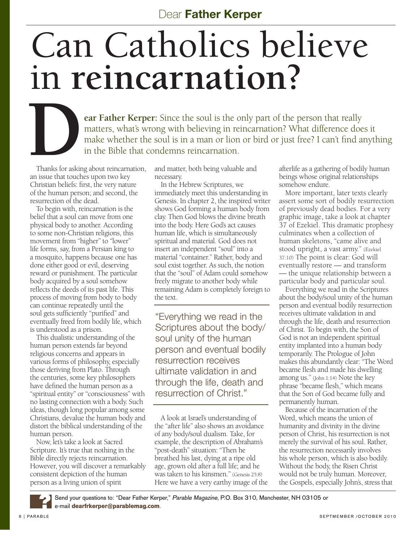## Can Catholics believe in **reincarnation?**

**PERTURN CONTROLLER CONTROLLER SINCE THE SOLUTION STATE OF STATE SINCE THE SOLUTION STATE SINCE THE SOLUTION STATE SINCE THE SOLUTION STATE SINCE THE SOLUTION STATE SINCE THE SOLUTION STATE SINCE THE SOLUTION STATE SINCE T** matters, what's wrong with believing in reincarnation? What difference does it make whether the soul is in a man or lion or bird or just free? I can't find anything in the Bible that condemns reincarnation.

Thanks for asking about reincarnation, an issue that touches upon two key Christian beliefs: first, the very nature of the human person; and second, the resurrection of the dead.

To begin with, reincarnation is the belief that a soul can move from one physical body to another. According to some non-Christian religions, this movement from "higher" to "lower" life forms, say, from a Persian king to a mosquito, happens because one has done either good or evil, deserving reward or punishment. The particular body acquired by a soul somehow reflects the deeds of its past life. This process of moving from body to body can continue repeatedly until the soul gets sufficiently "purified" and eventually freed from bodily life, which is understood as a prison.

This dualistic understanding of the human person extends far beyond religious concerns and appears in various forms of philosophy, especially those deriving from Plato. Through the centuries, some key philosophers have defined the human person as a "spiritual entity" or "consciousness" with no lasting connection with a body. Such ideas, though long popular among some Christians, devalue the human body and distort the biblical understanding of the human person.

Now, let's take a look at Sacred Scripture. It's true that nothing in the Bible directly rejects reincarnation. However, you will discover a remarkably consistent depiction of the human person as a living union of spirit

and matter, both being valuable and necessary.

In the Hebrew Scriptures, we immediately meet this understanding in Genesis. In chapter 2, the inspired writer shows God forming a human body from clay. Then God blows the divine breath into the body. Here God's act causes human life, which is simultaneously spiritual and material. God does not insert an independent "soul" into a material "container." Rather, body and soul exist together. As such, the notion that the "soul" of Adam could somehow freely migrate to another body while remaining Adam is completely foreign to the text.

"Everything we read in the Scriptures about the body/ soul unity of the human person and eventual bodily resurrection receives ultimate validation in and through the life, death and resurrection of Christ."

A look at Israel's understanding of the "after life" also shows an avoidance of any body/soul dualism. Take, for example, the description of Abraham's "post-death" situation: "Then he breathed his last, dying at a ripe old age, grown old after a full life; and he was taken to his kinsmen." (Genesis 25:8) Here we have a very earthy image of the afterlife as a gathering of bodily human beings whose original relationships somehow endure.

More important, later texts clearly assert some sort of bodily resurrection of previously dead bodies. For a very graphic image, take a look at chapter 37 of Ezekiel. This dramatic prophesy culminates when a collection of human skeletons, "came alive and stood upright, a vast army." (Ezekiel 37:10) The point is clear: God will eventually restore — and transform — the unique relationship between a particular body and particular soul.

Everything we read in the Scriptures about the body/soul unity of the human person and eventual bodily resurrection receives ultimate validation in and through the life, death and resurrection of Christ. To begin with, the Son of God is not an independent spiritual entity implanted into a human body temporarily. The Prologue of John makes this abundantly clear: "The Word became flesh and made his dwelling among us." (John 1:14) Note the key phrase "became flesh," which means that the Son of God became fully and permanently human.

Because of the incarnation of the Word, which means the union of humanity and divinity in the divine person of Christ, his resurrection is not merely the survival of his soul. Rather, the resurrection necessarily involves his whole person, which is also bodily. Without the body, the Risen Christ would not be truly human. Moreover, the Gospels, especially John's, stress that